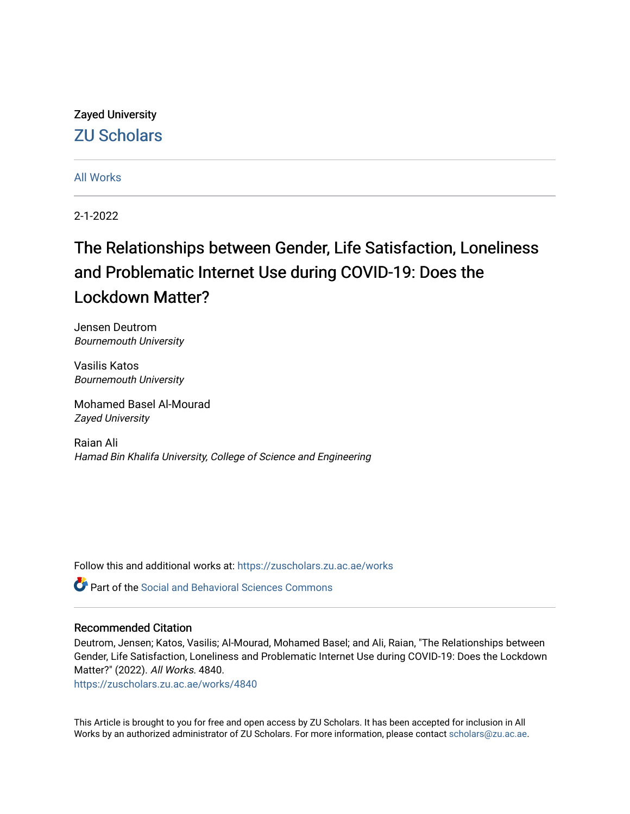# Zayed University [ZU Scholars](https://zuscholars.zu.ac.ae/)

### [All Works](https://zuscholars.zu.ac.ae/works)

2-1-2022

# The Relationships between Gender, Life Satisfaction, Loneliness and Problematic Internet Use during COVID-19: Does the Lockdown Matter?

Jensen Deutrom Bournemouth University

Vasilis Katos Bournemouth University

Mohamed Basel Al-Mourad Zayed University

Raian Ali Hamad Bin Khalifa University, College of Science and Engineering

Follow this and additional works at: [https://zuscholars.zu.ac.ae/works](https://zuscholars.zu.ac.ae/works?utm_source=zuscholars.zu.ac.ae%2Fworks%2F4840&utm_medium=PDF&utm_campaign=PDFCoverPages)

Part of the [Social and Behavioral Sciences Commons](http://network.bepress.com/hgg/discipline/316?utm_source=zuscholars.zu.ac.ae%2Fworks%2F4840&utm_medium=PDF&utm_campaign=PDFCoverPages) 

### Recommended Citation

Deutrom, Jensen; Katos, Vasilis; Al-Mourad, Mohamed Basel; and Ali, Raian, "The Relationships between Gender, Life Satisfaction, Loneliness and Problematic Internet Use during COVID-19: Does the Lockdown Matter?" (2022). All Works. 4840.

[https://zuscholars.zu.ac.ae/works/4840](https://zuscholars.zu.ac.ae/works/4840?utm_source=zuscholars.zu.ac.ae%2Fworks%2F4840&utm_medium=PDF&utm_campaign=PDFCoverPages)

This Article is brought to you for free and open access by ZU Scholars. It has been accepted for inclusion in All Works by an authorized administrator of ZU Scholars. For more information, please contact [scholars@zu.ac.ae](mailto:scholars@zu.ac.ae).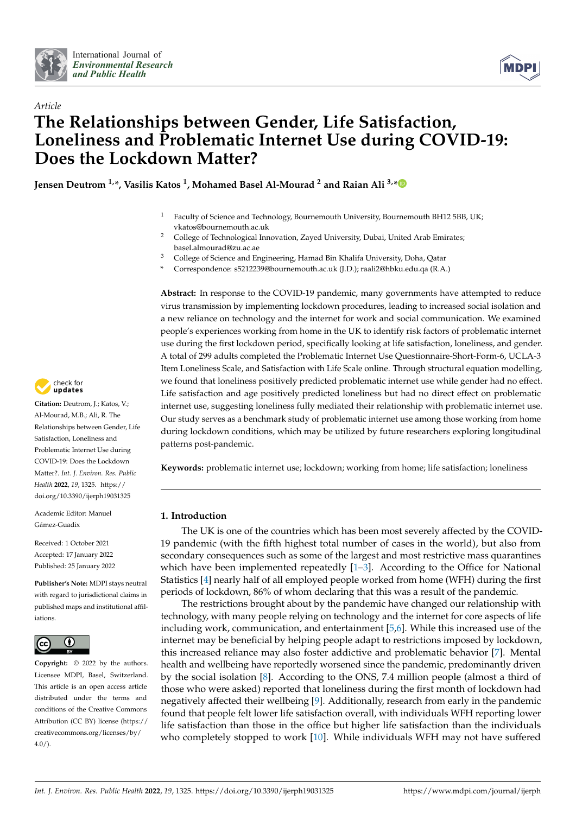



# *Article* **The Relationships between Gender, Life Satisfaction, Loneliness and Problematic Internet Use during COVID-19: Does the Lockdown Matter?**

**Jensen Deutrom 1,\*, Vasilis Katos <sup>1</sup> , Mohamed Basel Al-Mourad <sup>2</sup> and Raian Ali 3,[\\*](https://orcid.org/0000-0002-5285-7829)**

- <sup>1</sup> Faculty of Science and Technology, Bournemouth University, Bournemouth BH12 5BB, UK; vkatos@bournemouth.ac.uk
- <sup>2</sup> College of Technological Innovation, Zayed University, Dubai, United Arab Emirates; basel.almourad@zu.ac.ae
- <sup>3</sup> College of Science and Engineering, Hamad Bin Khalifa University, Doha, Qatar
- **\*** Correspondence: s5212239@bournemouth.ac.uk (J.D.); raali2@hbku.edu.qa (R.A.)

**Abstract:** In response to the COVID-19 pandemic, many governments have attempted to reduce virus transmission by implementing lockdown procedures, leading to increased social isolation and a new reliance on technology and the internet for work and social communication. We examined people's experiences working from home in the UK to identify risk factors of problematic internet use during the first lockdown period, specifically looking at life satisfaction, loneliness, and gender. A total of 299 adults completed the Problematic Internet Use Questionnaire-Short-Form-6, UCLA-3 Item Loneliness Scale, and Satisfaction with Life Scale online. Through structural equation modelling, we found that loneliness positively predicted problematic internet use while gender had no effect. Life satisfaction and age positively predicted loneliness but had no direct effect on problematic internet use, suggesting loneliness fully mediated their relationship with problematic internet use. Our study serves as a benchmark study of problematic internet use among those working from home during lockdown conditions, which may be utilized by future researchers exploring longitudinal patterns post-pandemic.

**Keywords:** problematic internet use; lockdown; working from home; life satisfaction; loneliness

### **1. Introduction**

The UK is one of the countries which has been most severely affected by the COVID-19 pandemic (with the fifth highest total number of cases in the world), but also from secondary consequences such as some of the largest and most restrictive mass quarantines which have been implemented repeatedly  $[1-3]$  $[1-3]$ . According to the Office for National Statistics [\[4\]](#page-11-2) nearly half of all employed people worked from home (WFH) during the first periods of lockdown, 86% of whom declaring that this was a result of the pandemic.

The restrictions brought about by the pandemic have changed our relationship with technology, with many people relying on technology and the internet for core aspects of life including work, communication, and entertainment [\[5,](#page-11-3)[6\]](#page-11-4). While this increased use of the internet may be beneficial by helping people adapt to restrictions imposed by lockdown, this increased reliance may also foster addictive and problematic behavior [\[7\]](#page-11-5). Mental health and wellbeing have reportedly worsened since the pandemic, predominantly driven by the social isolation [\[8\]](#page-11-6). According to the ONS, 7.4 million people (almost a third of those who were asked) reported that loneliness during the first month of lockdown had negatively affected their wellbeing [\[9\]](#page-11-7). Additionally, research from early in the pandemic found that people felt lower life satisfaction overall, with individuals WFH reporting lower life satisfaction than those in the office but higher life satisfaction than the individuals who completely stopped to work [\[10\]](#page-11-8). While individuals WFH may not have suffered



**Citation:** Deutrom, J.; Katos, V.; Al-Mourad, M.B.; Ali, R. The Relationships between Gender, Life Satisfaction, Loneliness and Problematic Internet Use during COVID-19: Does the Lockdown Matter?. *Int. J. Environ. Res. Public Health* **2022**, *19*, 1325. [https://](https://doi.org/10.3390/ijerph19031325) [doi.org/10.3390/ijerph19031325](https://doi.org/10.3390/ijerph19031325)

Academic Editor: Manuel Gámez-Guadix

Received: 1 October 2021 Accepted: 17 January 2022 Published: 25 January 2022

**Publisher's Note:** MDPI stays neutral with regard to jurisdictional claims in published maps and institutional affiliations.



**Copyright:** © 2022 by the authors. Licensee MDPI, Basel, Switzerland. This article is an open access article distributed under the terms and conditions of the Creative Commons Attribution (CC BY) license [\(https://](https://creativecommons.org/licenses/by/4.0/) [creativecommons.org/licenses/by/](https://creativecommons.org/licenses/by/4.0/)  $4.0/$ ).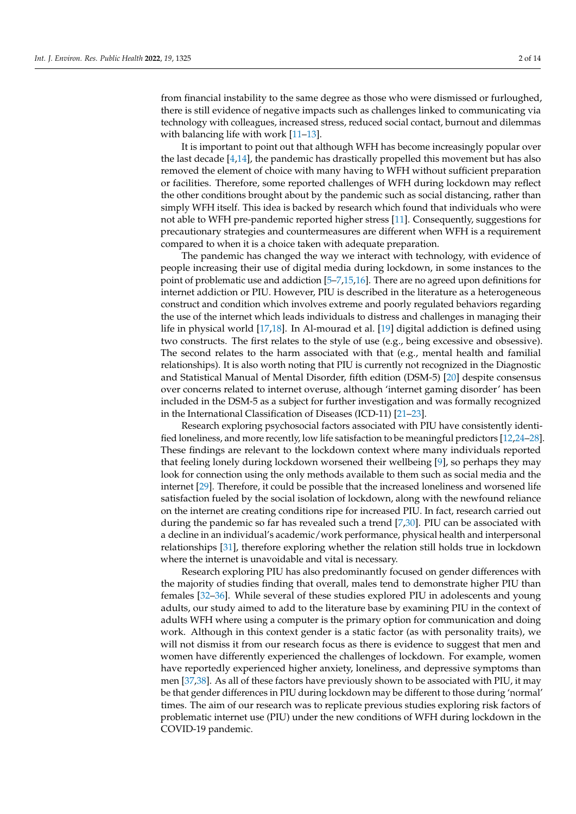from financial instability to the same degree as those who were dismissed or furloughed, there is still evidence of negative impacts such as challenges linked to communicating via technology with colleagues, increased stress, reduced social contact, burnout and dilemmas with balancing life with work [\[11](#page-11-9)[–13\]](#page-11-10).

It is important to point out that although WFH has become increasingly popular over the last decade [\[4](#page-11-2)[,14\]](#page-11-11), the pandemic has drastically propelled this movement but has also removed the element of choice with many having to WFH without sufficient preparation or facilities. Therefore, some reported challenges of WFH during lockdown may reflect the other conditions brought about by the pandemic such as social distancing, rather than simply WFH itself. This idea is backed by research which found that individuals who were not able to WFH pre-pandemic reported higher stress [\[11\]](#page-11-9). Consequently, suggestions for precautionary strategies and countermeasures are different when WFH is a requirement compared to when it is a choice taken with adequate preparation.

The pandemic has changed the way we interact with technology, with evidence of people increasing their use of digital media during lockdown, in some instances to the point of problematic use and addiction [\[5](#page-11-3)[–7](#page-11-5)[,15](#page-12-0)[,16\]](#page-12-1). There are no agreed upon definitions for internet addiction or PIU. However, PIU is described in the literature as a heterogeneous construct and condition which involves extreme and poorly regulated behaviors regarding the use of the internet which leads individuals to distress and challenges in managing their life in physical world [\[17,](#page-12-2)[18\]](#page-12-3). In Al-mourad et al. [\[19\]](#page-12-4) digital addiction is defined using two constructs. The first relates to the style of use (e.g., being excessive and obsessive). The second relates to the harm associated with that (e.g., mental health and familial relationships). It is also worth noting that PIU is currently not recognized in the Diagnostic and Statistical Manual of Mental Disorder, fifth edition (DSM-5) [\[20\]](#page-12-5) despite consensus over concerns related to internet overuse, although 'internet gaming disorder' has been included in the DSM-5 as a subject for further investigation and was formally recognized in the International Classification of Diseases (ICD-11) [\[21](#page-12-6)[–23\]](#page-12-7).

Research exploring psychosocial factors associated with PIU have consistently identified loneliness, and more recently, low life satisfaction to be meaningful predictors [\[12,](#page-11-12)[24](#page-12-8)[–28\]](#page-12-9). These findings are relevant to the lockdown context where many individuals reported that feeling lonely during lockdown worsened their wellbeing [\[9\]](#page-11-7), so perhaps they may look for connection using the only methods available to them such as social media and the internet [\[29\]](#page-12-10). Therefore, it could be possible that the increased loneliness and worsened life satisfaction fueled by the social isolation of lockdown, along with the newfound reliance on the internet are creating conditions ripe for increased PIU. In fact, research carried out during the pandemic so far has revealed such a trend [\[7,](#page-11-5)[30\]](#page-12-11). PIU can be associated with a decline in an individual's academic/work performance, physical health and interpersonal relationships [\[31\]](#page-12-12), therefore exploring whether the relation still holds true in lockdown where the internet is unavoidable and vital is necessary.

Research exploring PIU has also predominantly focused on gender differences with the majority of studies finding that overall, males tend to demonstrate higher PIU than females [\[32](#page-12-13)[–36\]](#page-12-14). While several of these studies explored PIU in adolescents and young adults, our study aimed to add to the literature base by examining PIU in the context of adults WFH where using a computer is the primary option for communication and doing work. Although in this context gender is a static factor (as with personality traits), we will not dismiss it from our research focus as there is evidence to suggest that men and women have differently experienced the challenges of lockdown. For example, women have reportedly experienced higher anxiety, loneliness, and depressive symptoms than men [\[37](#page-12-15)[,38\]](#page-12-16). As all of these factors have previously shown to be associated with PIU, it may be that gender differences in PIU during lockdown may be different to those during 'normal' times. The aim of our research was to replicate previous studies exploring risk factors of problematic internet use (PIU) under the new conditions of WFH during lockdown in the COVID-19 pandemic.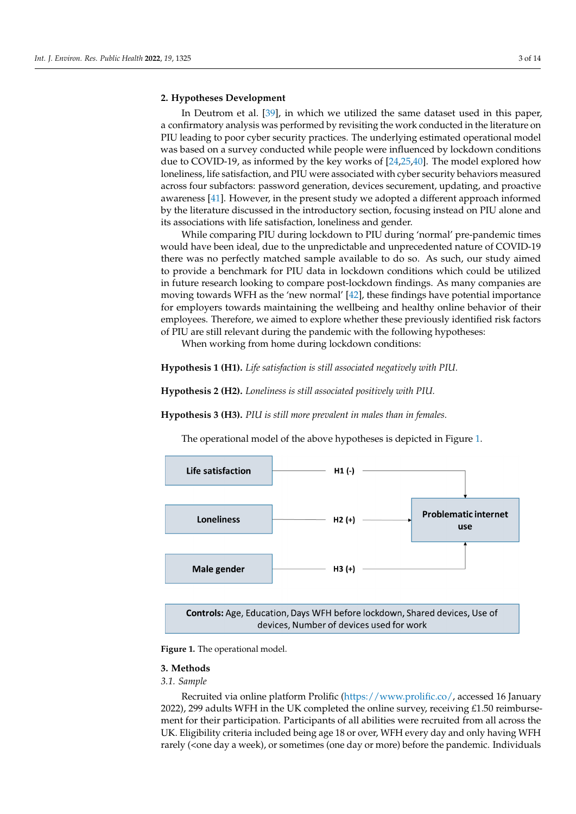## **2. Hypotheses Development 2. Hypotheses Development**

In Deutrom et al. [\[39\]](#page-12-17), in which we utilized the same dataset used in this paper, and the same dataset used in this paper, a confirmatory analysis was performed by revisiting the work conducted in the literature on<br>PH Used in a to ne contribute conviction as this configuration assimated an extinct PIU leading to poor cyber security practices. The underlying estimated operational model The reading to poor cyber security practices. The underlying estimated operational model was based on a survey conducted while people were influenced by lockdown conditions mas based on a survey conducted while people were influenced by lockdown conditions due to COVID-19, as informed by the key works of [\[24,](#page-12-8)[25,](#page-12-18)[40\]](#page-12-19). The model explored how  $\frac{dE}{dt}$  and to COVID-19, as informed by the key works of  $\frac{dE}{dt}$ , the model explored from hom how in subfactors: password generation, devices securement, updating, and proactive across four subfactors: password generation, devices securement, updating, and proactive assess four subfactors: password generation, across securement, up analog, and present to avareness [\[41\]](#page-12-20). However, in the present study we adopted a different approach informed by the literature discussed in the introductory section, focusing instead on PIU alone and by the literature discussed in the introductory section, focusing instead on PIU alone and its associations with life satisfaction, loneliness and gender.

While comparing PIU during lockdown to PIU during 'normal' pre-pandemic times would have been ideal, due to the unpredictable and unprecedented nature of COVID-19 there was no perfectly matched sample available to do so. As such, our study aimed to provide a benchmark for PIU data in lockdown conditions which could be utilized in future research looking to compare post-lockdown findings. As many companies are moving towards WFH as the 'new normal' [\[42\]](#page-12-21), these findings have potential importance for employers towards maintaining the wellbeing and healthy online behavior of their employees. Therefore, we aimed to explore whether these previously identified risk factors of PIU are still relevant during the pandemic with the following hypotheses:

When working from home during lockdown conditions:

**Hypothesis 1 (H1).** *Life satisfaction is still associated negatively with PIU.* **Hypothesis 1 (H1).** *Life satisfaction is still associated negatively with PIU*

**Hypothesis 2 (H2).** *Loneliness is still associated positively with PIU.* **Hypothesis 2 (H2).** *Loneliness is still associated positively with PIU*

**Hypothesis 3 (H3).** *PIU is still more prevalent in males than in females.* **Hypothesis 3 (H3).** *PIU is still more prevalent in males than in females*

The operational model of the above hypotheses is depicted in Figure 1. The operational model of the above hypotheses is depicted in Figur[e 1](#page-3-0).

<span id="page-3-0"></span>

Controls: Age, Education, Days WFH before lockdown, Shared devices, Use of devices, Number of devices used for work

**Figure 1.** The operational model. **Figure 1.** The operational model.

### **3. Methods 3. Methods**

*3.1. Sample 3.1. Sample*

necruited via online platform Prolific (https://www.prolifice.org/accessed 20 January 2022), 299 adults WFH in the UK completed the online survey, receiving £1.50 reimburse-2022), 299 adults WFH in the UK completed the online survey, receiving £1.50 reimburse-ment for their participation. Participants of all abilities were recruited from all across the ment for their participation. Participants of all abilities were recruited from all across the UK. Eligibility criteria included being age 18 or over, WFH every day and only having WFH  $U(\zeta)$  is called by  $\zeta$  included being agents of  $\zeta$  or  $\zeta$  or  $\zeta$  or  $\zeta$  or  $\zeta$  or  $\zeta$  or  $\zeta$  or  $\zeta$  or  $\zeta$  or  $\zeta$  or  $\zeta$  or  $\zeta$  or  $\zeta$  or  $\zeta$  or  $\zeta$  or  $\zeta$  or  $\zeta$  or  $\zeta$  or  $\zeta$  o rarely (<one day a week), or sometimes (one day or more) before the pandemic. Individuals Recruited via online platform Prolific [\(https://www.prolific.co/,](https://www.prolific.co/) accessed 16 January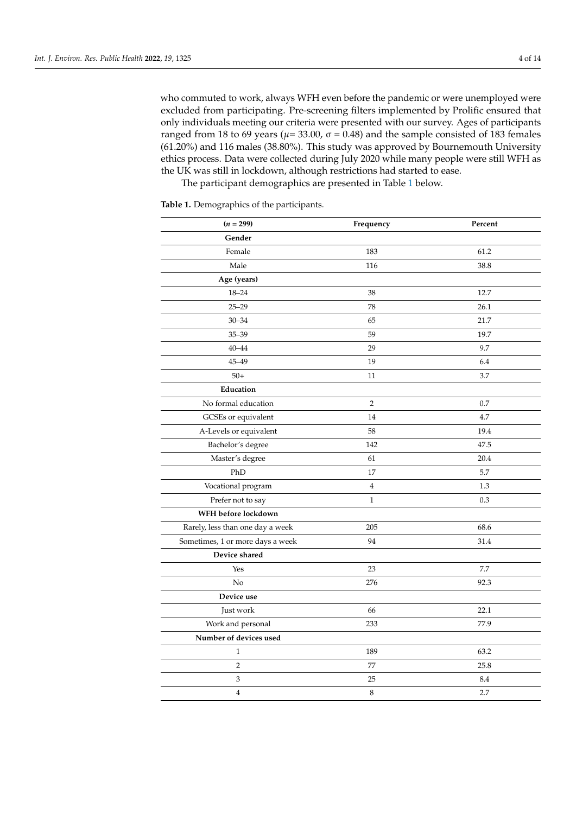who commuted to work, always WFH even before the pandemic or were unemployed were excluded from participating. Pre-screening filters implemented by Prolific ensured that only individuals meeting our criteria were presented with our survey. Ages of participants ranged from 18 to 69 years ( $\mu$ = 33.00,  $\sigma$  = 0.48) and the sample consisted of 183 females (61.20%) and 116 males (38.80%). This study was approved by Bournemouth University ethics process. Data were collected during July 2020 while many people were still WFH as the UK was still in lockdown, although restrictions had started to ease.

The participant demographics are presented in Table [1](#page-4-0) below.

<span id="page-4-0"></span>**Table 1.** Demographics of the participants.

| $(n = 299)$                      | Frequency      | Percent |  |
|----------------------------------|----------------|---------|--|
| Gender                           |                |         |  |
| Female                           | 183            | 61.2    |  |
| Male                             | 116            | 38.8    |  |
| Age (years)                      |                |         |  |
| $18 - 24$                        | 38             | 12.7    |  |
| $25 - 29$                        | 78             | 26.1    |  |
| $30 - 34$                        | 65             | 21.7    |  |
| $35 - 39$                        | 59             | 19.7    |  |
| $40 - 44$                        | 29             | 9.7     |  |
| 45-49                            | 19             | 6.4     |  |
| $50+$                            | 11             | 3.7     |  |
| Education                        |                |         |  |
| No formal education              | $\overline{2}$ | 0.7     |  |
| GCSEs or equivalent              | 14             | 4.7     |  |
| A-Levels or equivalent           | 58             | 19.4    |  |
| Bachelor's degree                | 142            | 47.5    |  |
| Master's degree                  | 61             | 20.4    |  |
| PhD                              | 17             | 5.7     |  |
| Vocational program               | $\,4$          | 1.3     |  |
| Prefer not to say                | $\mathbf{1}$   | 0.3     |  |
| WFH before lockdown              |                |         |  |
| Rarely, less than one day a week | 205            | 68.6    |  |
| Sometimes, 1 or more days a week | 94             | 31.4    |  |
| Device shared                    |                |         |  |
| Yes                              | 23             | 7.7     |  |
| No                               | 276            | 92.3    |  |
| Device use                       |                |         |  |
| Just work                        | 66             | 22.1    |  |
| Work and personal                | 233            | 77.9    |  |
| Number of devices used           |                |         |  |
| $\mathbf{1}$                     | 189            | 63.2    |  |
| $\sqrt{2}$                       | 77             | 25.8    |  |
| 3                                | 25             | 8.4     |  |
| $\overline{4}$                   | $\,$ 8 $\,$    | 2.7     |  |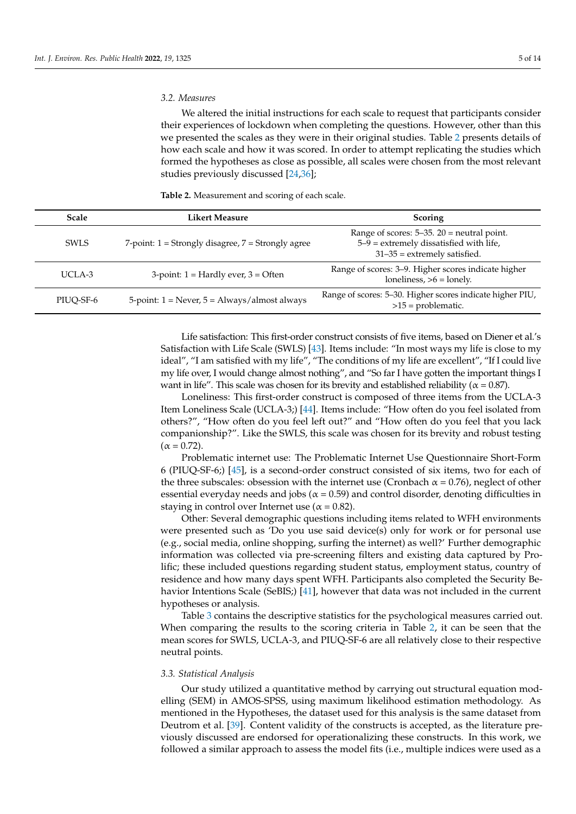#### *3.2. Measures*

We altered the initial instructions for each scale to request that participants consider their experiences of lockdown when completing the questions. However, other than this we presented the scales as they were in their original studies. Table [2](#page-5-0) presents details of how each scale and how it was scored. In order to attempt replicating the studies which formed the hypotheses as close as possible, all scales were chosen from the most relevant studies previously discussed [\[24,](#page-12-8)[36\]](#page-12-14);

<span id="page-5-0"></span>**Table 2.** Measurement and scoring of each scale.

| <b>Scale</b>                                                  | Likert Measure                                            | <b>Scoring</b>                                                                                                                 |  |  |
|---------------------------------------------------------------|-----------------------------------------------------------|--------------------------------------------------------------------------------------------------------------------------------|--|--|
| SWLS                                                          | $7$ -point: $1 =$ Strongly disagree, $7 =$ Strongly agree | Range of scores: $5-35$ . $20$ = neutral point.<br>$5-9$ = extremely dissatisfied with life,<br>$31-35$ = extremely satisfied. |  |  |
| $UCI.A-3$                                                     | $3$ -point: $1 =$ Hardly ever, $3 =$ Often                | Range of scores: 3–9. Higher scores indicate higher<br>loneliness, $>6$ = lonely.                                              |  |  |
| 5-point: $1 =$ Never, $5 =$ Always/almost always<br>PIUO-SF-6 |                                                           | Range of scores: 5-30. Higher scores indicate higher PIU,<br>$>15$ = problematic.                                              |  |  |

Life satisfaction: This first-order construct consists of five items, based on Diener et al.'s Satisfaction with Life Scale (SWLS) [\[43\]](#page-12-22). Items include: "In most ways my life is close to my ideal", "I am satisfied with my life", "The conditions of my life are excellent", "If I could live my life over, I would change almost nothing", and "So far I have gotten the important things I want in life". This scale was chosen for its brevity and established reliability ( $\alpha$  = 0.87).

Loneliness: This first-order construct is composed of three items from the UCLA-3 Item Loneliness Scale (UCLA-3;) [\[44\]](#page-13-0). Items include: "How often do you feel isolated from others?", "How often do you feel left out?" and "How often do you feel that you lack companionship?". Like the SWLS, this scale was chosen for its brevity and robust testing  $(\alpha = 0.72)$ .

Problematic internet use: The Problematic Internet Use Questionnaire Short-Form 6 (PIUQ-SF-6;) [\[45\]](#page-13-1), is a second-order construct consisted of six items, two for each of the three subscales: obsession with the internet use (Cronbach  $\alpha = 0.76$ ), neglect of other essential everyday needs and jobs ( $\alpha$  = 0.59) and control disorder, denoting difficulties in staying in control over Internet use ( $\alpha$  = 0.82).

Other: Several demographic questions including items related to WFH environments were presented such as 'Do you use said device(s) only for work or for personal use (e.g., social media, online shopping, surfing the internet) as well?' Further demographic information was collected via pre-screening filters and existing data captured by Prolific; these included questions regarding student status, employment status, country of residence and how many days spent WFH. Participants also completed the Security Be-havior Intentions Scale (SeBIS;) [\[41\]](#page-12-20), however that data was not included in the current hypotheses or analysis.

Table [3](#page-6-0) contains the descriptive statistics for the psychological measures carried out. When comparing the results to the scoring criteria in Table [2,](#page-5-0) it can be seen that the mean scores for SWLS, UCLA-3, and PIUQ-SF-6 are all relatively close to their respective neutral points.

#### *3.3. Statistical Analysis*

Our study utilized a quantitative method by carrying out structural equation modelling (SEM) in AMOS-SPSS, using maximum likelihood estimation methodology. As mentioned in the Hypotheses, the dataset used for this analysis is the same dataset from Deutrom et al. [\[39\]](#page-12-17). Content validity of the constructs is accepted, as the literature previously discussed are endorsed for operationalizing these constructs. In this work, we followed a similar approach to assess the model fits (i.e., multiple indices were used as a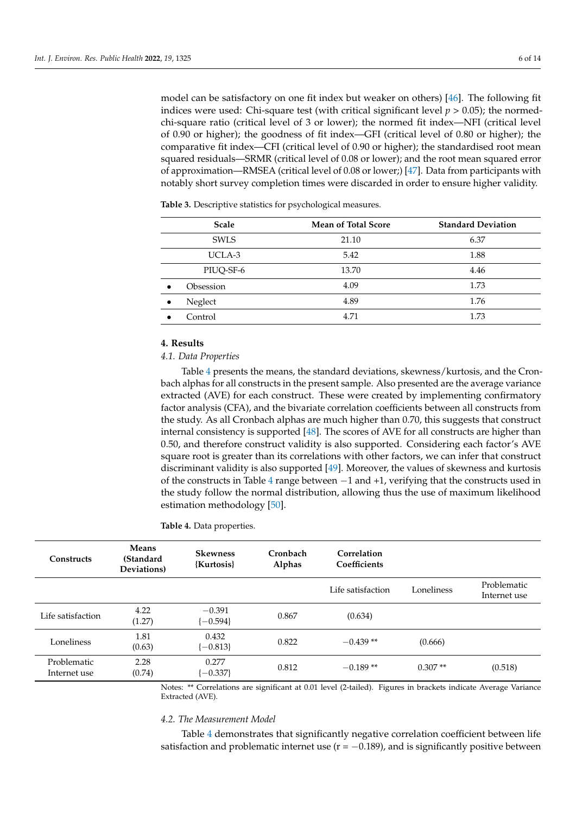model can be satisfactory on one fit index but weaker on others) [\[46\]](#page-13-2). The following fit indices were used: Chi-square test (with critical significant level  $p > 0.05$ ); the normedchi-square ratio (critical level of 3 or lower); the normed fit index—NFI (critical level of 0.90 or higher); the goodness of fit index—GFI (critical level of 0.80 or higher); the comparative fit index—CFI (critical level of 0.90 or higher); the standardised root mean squared residuals—SRMR (critical level of 0.08 or lower); and the root mean squared error of approximation—RMSEA (critical level of 0.08 or lower;) [\[47\]](#page-13-3). Data from participants with notably short survey completion times were discarded in order to ensure higher validity.

| <b>Scale</b>           | <b>Mean of Total Score</b> | <b>Standard Deviation</b> |
|------------------------|----------------------------|---------------------------|
| <b>SWLS</b>            | 21.10                      | 6.37                      |
| UCLA-3                 | 5.42                       | 1.88                      |
| PIUQ-SF-6              | 13.70                      | 4.46                      |
| Obsession<br>$\bullet$ | 4.09                       | 1.73                      |
| Neglect<br>$\bullet$   | 4.89                       | 1.76                      |
| Control                | 4.71                       | 1.73                      |

<span id="page-6-0"></span>**Table 3.** Descriptive statistics for psychological measures.

#### **4. Results**

#### *4.1. Data Properties*

Table [4](#page-6-1) presents the means, the standard deviations, skewness/kurtosis, and the Cronbach alphas for all constructs in the present sample. Also presented are the average variance extracted (AVE) for each construct. These were created by implementing confirmatory factor analysis (CFA), and the bivariate correlation coefficients between all constructs from the study. As all Cronbach alphas are much higher than 0.70, this suggests that construct internal consistency is supported [\[48\]](#page-13-4). The scores of AVE for all constructs are higher than 0.50, and therefore construct validity is also supported. Considering each factor's AVE square root is greater than its correlations with other factors, we can infer that construct discriminant validity is also supported [\[49\]](#page-13-5). Moreover, the values of skewness and kurtosis of the constructs in Table [4](#page-6-1) range between −1 and +1, verifying that the constructs used in the study follow the normal distribution, allowing thus the use of maximum likelihood estimation methodology [\[50\]](#page-13-6).

<span id="page-6-1"></span>**Table 4.** Data properties.

| <b>Constructs</b>           | Means<br>(Standard<br>Deviations) | <b>Skewness</b><br>{Kurtosis} | Cronbach<br><b>Alphas</b> | Correlation<br>Coefficients |            |                             |
|-----------------------------|-----------------------------------|-------------------------------|---------------------------|-----------------------------|------------|-----------------------------|
|                             |                                   |                               |                           | Life satisfaction           | Loneliness | Problematic<br>Internet use |
| Life satisfaction.          | 4.22<br>(1.27)                    | $-0.391$<br>$[-0.594]$        | 0.867                     | (0.634)                     |            |                             |
| Loneliness                  | 1.81<br>(0.63)                    | 0.432<br>$[-0.813]$           | 0.822                     | $-0.439**$                  | (0.666)    |                             |
| Problematic<br>Internet use | 2.28<br>(0.74)                    | 0.277<br>$-0.337$             | 0.812                     | $-0.189**$                  | $0.307**$  | (0.518)                     |

Notes: \*\* Correlations are significant at 0.01 level (2-tailed). Figures in brackets indicate Average Variance Extracted (AVE).

#### *4.2. The Measurement Model*

Table [4](#page-6-1) demonstrates that significantly negative correlation coefficient between life satisfaction and problematic internet use ( $r = -0.189$ ), and is significantly positive between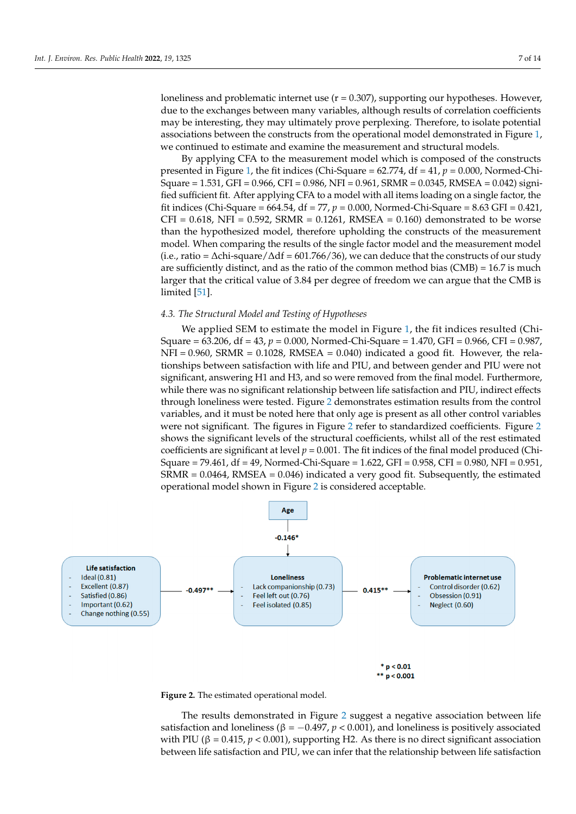loneliness and problematic internet use  $(r = 0.307)$ , supporting our hypotheses. However, due to the exchanges between many variables, although results of correlation coefficients may be interesting, they may ultimately prove perplexing. Therefore, to isolate potential associations between the constructs from the operational model demonstrated in Figure [1,](#page-3-0)  $\,$ we continued to estimate and examine the measurement and structural models.

By applying CFA to the measurement model which is composed of the constructs presented in Figure 1, the fit indices (Chi-Square [=](#page-3-0) 62.774, df = 41,  $p$  = 0.000, Normed-Chi-Square = 1.531, GFI = 0.966, CFI = 0.986, NFI = 0.961, SRMR = 0.0345, RMSEA = 0.042) signified sufficient fit. After applying CFA to a model with all items loading on a single factor, the fit indices (Chi-Square = 664.54, df = 77,  $p = 0.000$ , Normed-Chi-Square = 8.63 GFI = 0.421,  $CFI = 0.618$ , NFI = 0.592, SRMR = 0.1261, RMSEA = 0.160) demonstrated to be worse than the hypothesized model, therefore upholding the constructs of the measurement model. When comparing the results of the single factor model and the measurement model (i.e., ratio =  $\Delta$ chi-square/ $\Delta$ df = 601.766/36), we can deduce that the constructs of our study are sufficiently distinct, and as the ratio of the common method bias  $(CMB) = 16.7$  is much larger that the critical value of 3.84 per degree of freedom we can argue that the CMB is limited [\[51\]](#page-13-7).

# *4.3. The Structural Model and Testing of Hypotheses 4.3. The Structural Model and Testing of Hypotheses*

We applied SEM to estimate the model in Figure [1,](#page-3-0) the fit indices resulted (Chi-We applied SEM to estimate the model in Figure 1, the fit indices resulted (Chi-Square = 63.206, df = 43, *p* = 0.000, Normed-Chi-Square = 1.470, GFI = 0.966, CFI = 0.987, Square = 63.206, df = 43, *p* = 0.000, Normed-Chi-Square = 1.470, GFI = 0.966, CFI = 0.987,  $NFI = 0.960$ , SRMR = 0.1028, RMSEA = 0.040) indicated a good fit. However, the relationships between satisfaction with life and PIU, and between gender and PIU were not ships between satisfaction with life and PIU, and between gender and PIU were not sigsignificant, answering H1 and H3, and so were removed from the final model. Furthermore, while there was no significant relationship between life satisfaction and PIU, indirect effects through loneliness were tested. Figure [2](#page-7-0) demonstrates estimation results from the control variables, and it must be noted here that only age is present as all other control variables were not significant. The figures in Figure  $\frac{1}{2}$  $\frac{1}{2}$  $\frac{1}{2}$  refer to standardized coefficients. Figure 2 shows the significant levels of the structural coefficients, whilst all of the rest estimated coefficients are significant at level  $p = 0.001$ . The fit indices of the final model produced (Chi-Square = 79.461, df = 49, Normed-Chi-Square = 1.622, GFI = 0.958, CFI = 0.980, NFI = 0.951,  $S\overline{\text{R}}\text{MR} = 0.0464$ ,  $\text{RMSEA} = 0.046$ ) indicated a very good fit. Subsequently, the estimated operational model sh[ow](#page-7-0)n in Figure 2 is considered acceptable.

<span id="page-7-0"></span>



The results demonstrated in Figure 2 suggest a negative association between life satisfaction between life satisfactors of  $0.407 \times 2.003$ . satisfaction and loneliness (β = −0.497, *p* < 0.001), and loneliness is positively associated with  $\text{PIL}$  (*β* = 0.415, *u* ≤ 0.001), ang patitive L2. As there is no direct in if is not associative.  $P_{\text{1}}$  ( $P_{\text{2}}$  ),  $P_{\text{3}}$  and  $P_{\text{1}}$  ( $p_{\text{2}}$  and infer the the noise is no direct significant association between life satisfaction and PIU, we can infer that the relationship between life satisfaction between life satisfaction and PIU, we can infer that the relationship between life satisfactionThe results demonstrated in Figure [2](#page-7-0) suggest a negative association between life with PIU (β = 0.415,  $p < 0.001$ ), supporting H2. As there is no direct significant association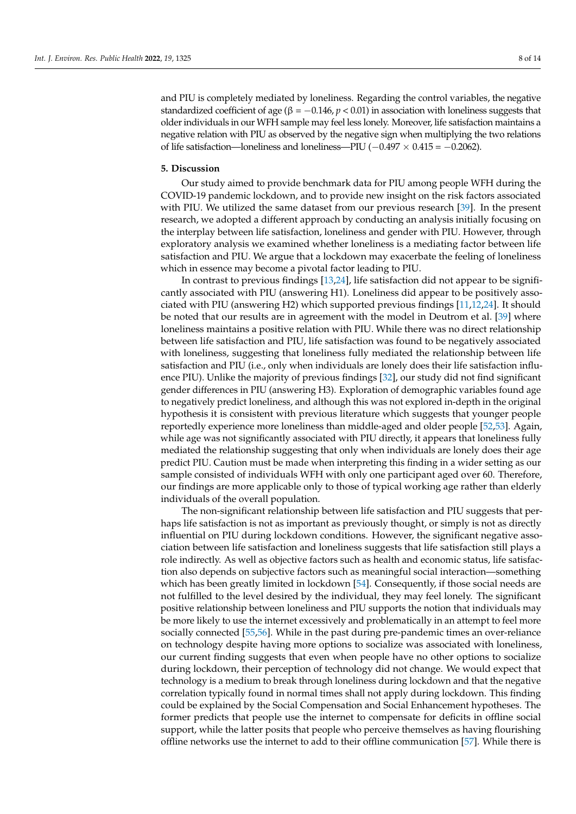and PIU is completely mediated by loneliness. Regarding the control variables, the negative standardized coefficient of age ( $\beta = -0.146$ ,  $p < 0.01$ ) in association with loneliness suggests that older individuals in our WFH sample may feel less lonely. Moreover, life satisfaction maintains a negative relation with PIU as observed by the negative sign when multiplying the two relations of life satisfaction—loneliness and loneliness—PIU ( $-0.497 \times 0.415 = -0.2062$ ).

#### **5. Discussion**

Our study aimed to provide benchmark data for PIU among people WFH during the COVID-19 pandemic lockdown, and to provide new insight on the risk factors associated with PIU. We utilized the same dataset from our previous research [\[39\]](#page-12-17). In the present research, we adopted a different approach by conducting an analysis initially focusing on the interplay between life satisfaction, loneliness and gender with PIU. However, through exploratory analysis we examined whether loneliness is a mediating factor between life satisfaction and PIU. We argue that a lockdown may exacerbate the feeling of loneliness which in essence may become a pivotal factor leading to PIU.

In contrast to previous findings [\[13](#page-11-10)[,24\]](#page-12-8), life satisfaction did not appear to be significantly associated with PIU (answering H1). Loneliness did appear to be positively associated with PIU (answering H2) which supported previous findings [\[11,](#page-11-9)[12,](#page-11-12)[24\]](#page-12-8). It should be noted that our results are in agreement with the model in Deutrom et al. [\[39\]](#page-12-17) where loneliness maintains a positive relation with PIU. While there was no direct relationship between life satisfaction and PIU, life satisfaction was found to be negatively associated with loneliness, suggesting that loneliness fully mediated the relationship between life satisfaction and PIU (i.e., only when individuals are lonely does their life satisfaction influence PIU). Unlike the majority of previous findings [\[32\]](#page-12-13), our study did not find significant gender differences in PIU (answering H3). Exploration of demographic variables found age to negatively predict loneliness, and although this was not explored in-depth in the original hypothesis it is consistent with previous literature which suggests that younger people reportedly experience more loneliness than middle-aged and older people [\[52,](#page-13-8)[53\]](#page-13-9). Again, while age was not significantly associated with PIU directly, it appears that loneliness fully mediated the relationship suggesting that only when individuals are lonely does their age predict PIU. Caution must be made when interpreting this finding in a wider setting as our sample consisted of individuals WFH with only one participant aged over 60. Therefore, our findings are more applicable only to those of typical working age rather than elderly individuals of the overall population.

The non-significant relationship between life satisfaction and PIU suggests that perhaps life satisfaction is not as important as previously thought, or simply is not as directly influential on PIU during lockdown conditions. However, the significant negative association between life satisfaction and loneliness suggests that life satisfaction still plays a role indirectly. As well as objective factors such as health and economic status, life satisfaction also depends on subjective factors such as meaningful social interaction—something which has been greatly limited in lockdown [\[54\]](#page-13-10). Consequently, if those social needs are not fulfilled to the level desired by the individual, they may feel lonely. The significant positive relationship between loneliness and PIU supports the notion that individuals may be more likely to use the internet excessively and problematically in an attempt to feel more socially connected [\[55,](#page-13-11)[56\]](#page-13-12). While in the past during pre-pandemic times an over-reliance on technology despite having more options to socialize was associated with loneliness, our current finding suggests that even when people have no other options to socialize during lockdown, their perception of technology did not change. We would expect that technology is a medium to break through loneliness during lockdown and that the negative correlation typically found in normal times shall not apply during lockdown. This finding could be explained by the Social Compensation and Social Enhancement hypotheses. The former predicts that people use the internet to compensate for deficits in offline social support, while the latter posits that people who perceive themselves as having flourishing offline networks use the internet to add to their offline communication [\[57\]](#page-13-13). While there is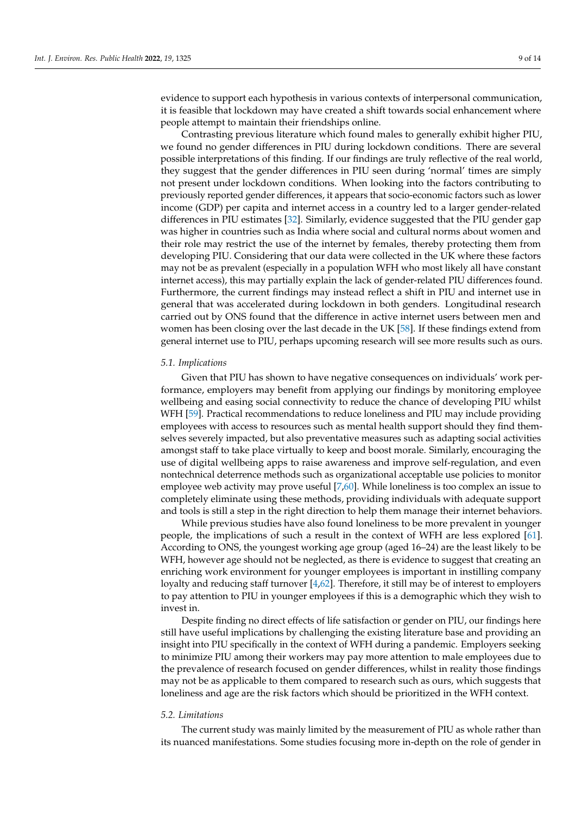evidence to support each hypothesis in various contexts of interpersonal communication, it is feasible that lockdown may have created a shift towards social enhancement where people attempt to maintain their friendships online.

Contrasting previous literature which found males to generally exhibit higher PIU, we found no gender differences in PIU during lockdown conditions. There are several possible interpretations of this finding. If our findings are truly reflective of the real world, they suggest that the gender differences in PIU seen during 'normal' times are simply not present under lockdown conditions. When looking into the factors contributing to previously reported gender differences, it appears that socio-economic factors such as lower income (GDP) per capita and internet access in a country led to a larger gender-related differences in PIU estimates [\[32\]](#page-12-13). Similarly, evidence suggested that the PIU gender gap was higher in countries such as India where social and cultural norms about women and their role may restrict the use of the internet by females, thereby protecting them from developing PIU. Considering that our data were collected in the UK where these factors may not be as prevalent (especially in a population WFH who most likely all have constant internet access), this may partially explain the lack of gender-related PIU differences found. Furthermore, the current findings may instead reflect a shift in PIU and internet use in general that was accelerated during lockdown in both genders. Longitudinal research carried out by ONS found that the difference in active internet users between men and women has been closing over the last decade in the UK [\[58\]](#page-13-14). If these findings extend from general internet use to PIU, perhaps upcoming research will see more results such as ours.

#### *5.1. Implications*

Given that PIU has shown to have negative consequences on individuals' work performance, employers may benefit from applying our findings by monitoring employee wellbeing and easing social connectivity to reduce the chance of developing PIU whilst WFH [\[59\]](#page-13-15). Practical recommendations to reduce loneliness and PIU may include providing employees with access to resources such as mental health support should they find themselves severely impacted, but also preventative measures such as adapting social activities amongst staff to take place virtually to keep and boost morale. Similarly, encouraging the use of digital wellbeing apps to raise awareness and improve self-regulation, and even nontechnical deterrence methods such as organizational acceptable use policies to monitor employee web activity may prove useful [\[7,](#page-11-5)[60\]](#page-13-16). While loneliness is too complex an issue to completely eliminate using these methods, providing individuals with adequate support and tools is still a step in the right direction to help them manage their internet behaviors.

While previous studies have also found loneliness to be more prevalent in younger people, the implications of such a result in the context of WFH are less explored [\[61\]](#page-13-17). According to ONS, the youngest working age group (aged 16–24) are the least likely to be WFH, however age should not be neglected, as there is evidence to suggest that creating an enriching work environment for younger employees is important in instilling company loyalty and reducing staff turnover [\[4,](#page-11-2)[62\]](#page-13-18). Therefore, it still may be of interest to employers to pay attention to PIU in younger employees if this is a demographic which they wish to invest in.

Despite finding no direct effects of life satisfaction or gender on PIU, our findings here still have useful implications by challenging the existing literature base and providing an insight into PIU specifically in the context of WFH during a pandemic. Employers seeking to minimize PIU among their workers may pay more attention to male employees due to the prevalence of research focused on gender differences, whilst in reality those findings may not be as applicable to them compared to research such as ours, which suggests that loneliness and age are the risk factors which should be prioritized in the WFH context.

#### *5.2. Limitations*

The current study was mainly limited by the measurement of PIU as whole rather than its nuanced manifestations. Some studies focusing more in-depth on the role of gender in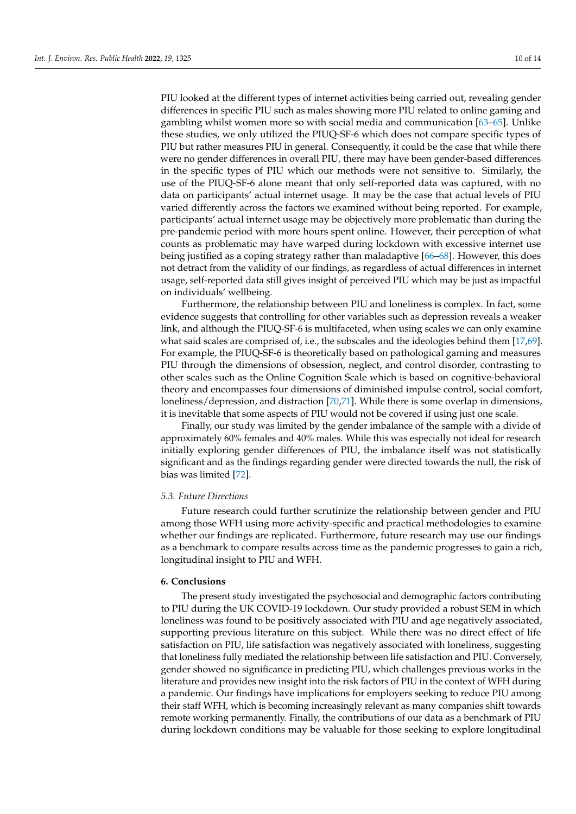PIU looked at the different types of internet activities being carried out, revealing gender differences in specific PIU such as males showing more PIU related to online gaming and gambling whilst women more so with social media and communication [\[63–](#page-13-19)[65\]](#page-13-20). Unlike these studies, we only utilized the PIUQ-SF-6 which does not compare specific types of PIU but rather measures PIU in general. Consequently, it could be the case that while there were no gender differences in overall PIU, there may have been gender-based differences in the specific types of PIU which our methods were not sensitive to. Similarly, the use of the PIUQ-SF-6 alone meant that only self-reported data was captured, with no data on participants' actual internet usage. It may be the case that actual levels of PIU varied differently across the factors we examined without being reported. For example, participants' actual internet usage may be objectively more problematic than during the pre-pandemic period with more hours spent online. However, their perception of what counts as problematic may have warped during lockdown with excessive internet use being justified as a coping strategy rather than maladaptive [\[66–](#page-13-21)[68\]](#page-13-22). However, this does not detract from the validity of our findings, as regardless of actual differences in internet usage, self-reported data still gives insight of perceived PIU which may be just as impactful on individuals' wellbeing.

Furthermore, the relationship between PIU and loneliness is complex. In fact, some evidence suggests that controlling for other variables such as depression reveals a weaker link, and although the PIUQ-SF-6 is multifaceted, when using scales we can only examine what said scales are comprised of, i.e., the subscales and the ideologies behind them [\[17](#page-12-2)[,69\]](#page-13-23). For example, the PIUQ-SF-6 is theoretically based on pathological gaming and measures PIU through the dimensions of obsession, neglect, and control disorder, contrasting to other scales such as the Online Cognition Scale which is based on cognitive-behavioral theory and encompasses four dimensions of diminished impulse control, social comfort, loneliness/depression, and distraction [\[70](#page-14-0)[,71\]](#page-14-1). While there is some overlap in dimensions, it is inevitable that some aspects of PIU would not be covered if using just one scale.

Finally, our study was limited by the gender imbalance of the sample with a divide of approximately 60% females and 40% males. While this was especially not ideal for research initially exploring gender differences of PIU, the imbalance itself was not statistically significant and as the findings regarding gender were directed towards the null, the risk of bias was limited [\[72\]](#page-14-2).

#### *5.3. Future Directions*

Future research could further scrutinize the relationship between gender and PIU among those WFH using more activity-specific and practical methodologies to examine whether our findings are replicated. Furthermore, future research may use our findings as a benchmark to compare results across time as the pandemic progresses to gain a rich, longitudinal insight to PIU and WFH.

#### **6. Conclusions**

The present study investigated the psychosocial and demographic factors contributing to PIU during the UK COVID-19 lockdown. Our study provided a robust SEM in which loneliness was found to be positively associated with PIU and age negatively associated, supporting previous literature on this subject. While there was no direct effect of life satisfaction on PIU, life satisfaction was negatively associated with loneliness, suggesting that loneliness fully mediated the relationship between life satisfaction and PIU. Conversely, gender showed no significance in predicting PIU, which challenges previous works in the literature and provides new insight into the risk factors of PIU in the context of WFH during a pandemic. Our findings have implications for employers seeking to reduce PIU among their staff WFH, which is becoming increasingly relevant as many companies shift towards remote working permanently. Finally, the contributions of our data as a benchmark of PIU during lockdown conditions may be valuable for those seeking to explore longitudinal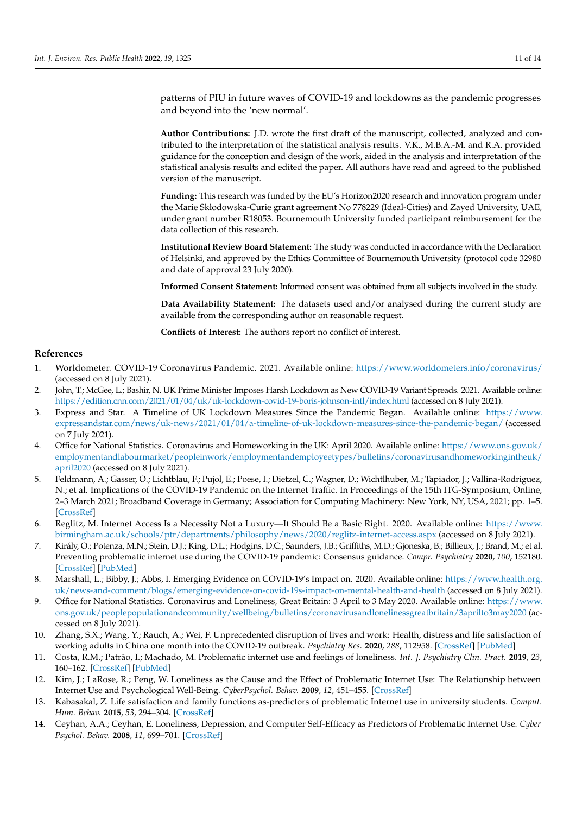patterns of PIU in future waves of COVID-19 and lockdowns as the pandemic progresses and beyond into the 'new normal'.

**Author Contributions:** J.D. wrote the first draft of the manuscript, collected, analyzed and contributed to the interpretation of the statistical analysis results. V.K., M.B.A.-M. and R.A. provided guidance for the conception and design of the work, aided in the analysis and interpretation of the statistical analysis results and edited the paper. All authors have read and agreed to the published version of the manuscript.

**Funding:** This research was funded by the EU's Horizon2020 research and innovation program under the Marie Skłodowska-Curie grant agreement No 778229 (Ideal-Cities) and Zayed University, UAE, under grant number R18053. Bournemouth University funded participant reimbursement for the data collection of this research.

**Institutional Review Board Statement:** The study was conducted in accordance with the Declaration of Helsinki, and approved by the Ethics Committee of Bournemouth University (protocol code 32980 and date of approval 23 July 2020).

**Informed Consent Statement:** Informed consent was obtained from all subjects involved in the study.

**Data Availability Statement:** The datasets used and/or analysed during the current study are available from the corresponding author on reasonable request.

**Conflicts of Interest:** The authors report no conflict of interest.

#### **References**

- <span id="page-11-0"></span>1. Worldometer. COVID-19 Coronavirus Pandemic. 2021. Available online: <https://www.worldometers.info/coronavirus/> (accessed on 8 July 2021).
- 2. John, T.; McGee, L.; Bashir, N. UK Prime Minister Imposes Harsh Lockdown as New COVID-19 Variant Spreads. 2021. Available online: <https://edition.cnn.com/2021/01/04/uk/uk-lockdown-covid-19-boris-johnson-intl/index.html> (accessed on 8 July 2021).
- <span id="page-11-1"></span>3. Express and Star. A Timeline of UK Lockdown Measures Since the Pandemic Began. Available online: [https://www.](https://www.expressandstar.com/news/uk-news/2021/01/04/a-timeline-of-uk-lockdown-measures-since-the-pandemic-began/) [expressandstar.com/news/uk-news/2021/01/04/a-timeline-of-uk-lockdown-measures-since-the-pandemic-began/](https://www.expressandstar.com/news/uk-news/2021/01/04/a-timeline-of-uk-lockdown-measures-since-the-pandemic-began/) (accessed on 7 July 2021).
- <span id="page-11-2"></span>4. Office for National Statistics. Coronavirus and Homeworking in the UK: April 2020. Available online: [https://www.ons.gov.uk/](https://www.ons.gov.uk/employmentandlabourmarket/peopleinwork/employmentandemployeetypes/bulletins/coronavirusandhomeworkingintheuk/april2020) [employmentandlabourmarket/peopleinwork/employmentandemployeetypes/bulletins/coronavirusandhomeworkingintheuk/](https://www.ons.gov.uk/employmentandlabourmarket/peopleinwork/employmentandemployeetypes/bulletins/coronavirusandhomeworkingintheuk/april2020) [april2020](https://www.ons.gov.uk/employmentandlabourmarket/peopleinwork/employmentandemployeetypes/bulletins/coronavirusandhomeworkingintheuk/april2020) (accessed on 8 July 2021).
- <span id="page-11-3"></span>5. Feldmann, A.; Gasser, O.; Lichtblau, F.; Pujol, E.; Poese, I.; Dietzel, C.; Wagner, D.; Wichtlhuber, M.; Tapiador, J.; Vallina-Rodriguez, N.; et al. Implications of the COVID-19 Pandemic on the Internet Traffic. In Proceedings of the 15th ITG-Symposium, Online, 2–3 March 2021; Broadband Coverage in Germany; Association for Computing Machinery: New York, NY, USA, 2021; pp. 1–5. [\[CrossRef\]](http://doi.org/10.1145/3419394.3423658)
- <span id="page-11-4"></span>6. Reglitz, M. Internet Access Is a Necessity Not a Luxury—It Should Be a Basic Right. 2020. Available online: [https://www.](https://www.birmingham.ac.uk/schools/ptr/departments/philosophy/news/2020/reglitz-internet-access.aspx) [birmingham.ac.uk/schools/ptr/departments/philosophy/news/2020/reglitz-internet-access.aspx](https://www.birmingham.ac.uk/schools/ptr/departments/philosophy/news/2020/reglitz-internet-access.aspx) (accessed on 8 July 2021).
- <span id="page-11-5"></span>7. Király, O.; Potenza, M.N.; Stein, D.J.; King, D.L.; Hodgins, D.C.; Saunders, J.B.; Griffiths, M.D.; Gjoneska, B.; Billieux, J.; Brand, M.; et al. Preventing problematic internet use during the COVID-19 pandemic: Consensus guidance. *Compr. Psychiatry* **2020**, *100*, 152180. [\[CrossRef\]](http://doi.org/10.1016/j.comppsych.2020.152180) [\[PubMed\]](http://www.ncbi.nlm.nih.gov/pubmed/32422427)
- <span id="page-11-6"></span>8. Marshall, L.; Bibby, J.; Abbs, I. Emerging Evidence on COVID-19's Impact on. 2020. Available online: [https://www.health.org.](https://www.health.org.uk/news-and-comment/blogs/emerging-evidence-on-covid-19s-impact-on-mental-health-and-health) [uk/news-and-comment/blogs/emerging-evidence-on-covid-19s-impact-on-mental-health-and-health](https://www.health.org.uk/news-and-comment/blogs/emerging-evidence-on-covid-19s-impact-on-mental-health-and-health) (accessed on 8 July 2021).
- <span id="page-11-7"></span>9. Office for National Statistics. Coronavirus and Loneliness, Great Britain: 3 April to 3 May 2020. Available online: [https://www.](https://www.ons.gov.uk/peoplepopulationandcommunity/wellbeing/bulletins/coronavirusandlonelinessgreatbritain/3aprilto3may2020) [ons.gov.uk/peoplepopulationandcommunity/wellbeing/bulletins/coronavirusandlonelinessgreatbritain/3aprilto3may2020](https://www.ons.gov.uk/peoplepopulationandcommunity/wellbeing/bulletins/coronavirusandlonelinessgreatbritain/3aprilto3may2020) (accessed on 8 July 2021).
- <span id="page-11-8"></span>10. Zhang, S.X.; Wang, Y.; Rauch, A.; Wei, F. Unprecedented disruption of lives and work: Health, distress and life satisfaction of working adults in China one month into the COVID-19 outbreak. *Psychiatry Res.* **2020**, *288*, 112958. [\[CrossRef\]](http://doi.org/10.1016/j.psychres.2020.112958) [\[PubMed\]](http://www.ncbi.nlm.nih.gov/pubmed/32283450)
- <span id="page-11-9"></span>11. Costa, R.M.; Patrão, I.; Machado, M. Problematic internet use and feelings of loneliness. *Int. J. Psychiatry Clin. Pract.* **2019**, *23*, 160–162. [\[CrossRef\]](http://doi.org/10.1080/13651501.2018.1539180) [\[PubMed\]](http://www.ncbi.nlm.nih.gov/pubmed/30570343)
- <span id="page-11-12"></span>12. Kim, J.; LaRose, R.; Peng, W. Loneliness as the Cause and the Effect of Problematic Internet Use: The Relationship between Internet Use and Psychological Well-Being. *CyberPsychol. Behav.* **2009**, *12*, 451–455. [\[CrossRef\]](http://doi.org/10.1089/cpb.2008.0327)
- <span id="page-11-10"></span>13. Kabasakal, Z. Life satisfaction and family functions as-predictors of problematic Internet use in university students. *Comput. Hum. Behav.* **2015**, *53*, 294–304. [\[CrossRef\]](http://doi.org/10.1016/j.chb.2015.07.019)
- <span id="page-11-11"></span>14. Ceyhan, A.A.; Ceyhan, E. Loneliness, Depression, and Computer Self-Efficacy as Predictors of Problematic Internet Use. *Cyber Psychol. Behav.* **2008**, *11*, 699–701. [\[CrossRef\]](http://doi.org/10.1089/cpb.2007.0255)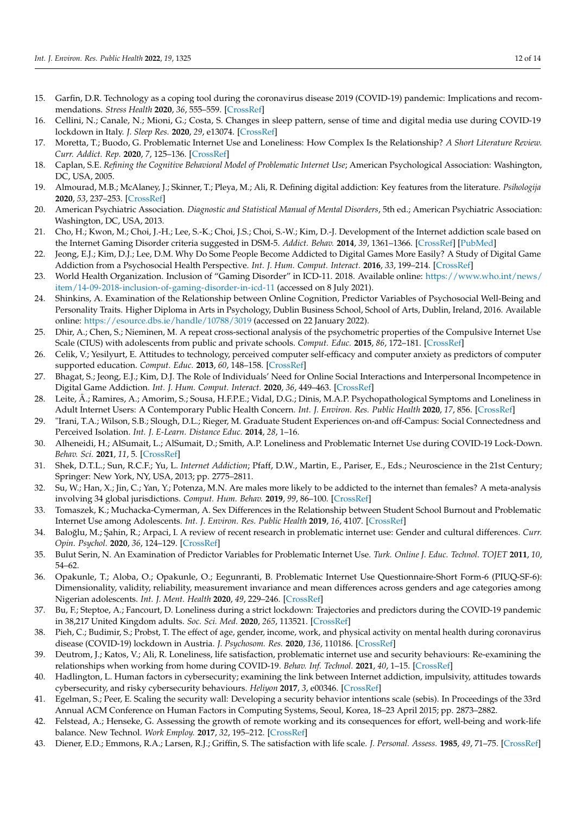- <span id="page-12-0"></span>15. Garfin, D.R. Technology as a coping tool during the coronavirus disease 2019 (COVID-19) pandemic: Implications and recommendations. *Stress Health* **2020**, *36*, 555–559. [\[CrossRef\]](http://doi.org/10.1002/smi.2975)
- <span id="page-12-1"></span>16. Cellini, N.; Canale, N.; Mioni, G.; Costa, S. Changes in sleep pattern, sense of time and digital media use during COVID-19 lockdown in Italy. *J. Sleep Res.* **2020**, *29*, e13074. [\[CrossRef\]](http://doi.org/10.1111/jsr.13074)
- <span id="page-12-2"></span>17. Moretta, T.; Buodo, G. Problematic Internet Use and Loneliness: How Complex Is the Relationship? *A Short Literature Review. Curr. Addict. Rep.* **2020**, *7*, 125–136. [\[CrossRef\]](http://doi.org/10.1007/s40429-020-00305-z)
- <span id="page-12-3"></span>18. Caplan, S.E. *Refining the Cognitive Behavioral Model of Problematic Internet Use*; American Psychological Association: Washington, DC, USA, 2005.
- <span id="page-12-4"></span>19. Almourad, M.B.; McAlaney, J.; Skinner, T.; Pleya, M.; Ali, R. Defining digital addiction: Key features from the literature. *Psihologija* **2020**, *53*, 237–253. [\[CrossRef\]](http://doi.org/10.2298/PSI191029017A)
- <span id="page-12-5"></span>20. American Psychiatric Association. *Diagnostic and Statistical Manual of Mental Disorders*, 5th ed.; American Psychiatric Association: Washington, DC, USA, 2013.
- <span id="page-12-6"></span>21. Cho, H.; Kwon, M.; Choi, J.-H.; Lee, S.-K.; Choi, J.S.; Choi, S.-W.; Kim, D.-J. Development of the Internet addiction scale based on the Internet Gaming Disorder criteria suggested in DSM-5. *Addict. Behav.* **2014**, *39*, 1361–1366. [\[CrossRef\]](http://doi.org/10.1016/j.addbeh.2014.01.020) [\[PubMed\]](http://www.ncbi.nlm.nih.gov/pubmed/24880884)
- 22. Jeong, E.J.; Kim, D.J.; Lee, D.M. Why Do Some People Become Addicted to Digital Games More Easily? A Study of Digital Game Addiction from a Psychosocial Health Perspective. *Int. J. Hum. Comput. Interact.* **2016**, *33*, 199–214. [\[CrossRef\]](http://doi.org/10.1080/10447318.2016.1232908)
- <span id="page-12-7"></span>23. World Health Organization. Inclusion of "Gaming Disorder" in ICD-11. 2018. Available online: [https://www.who.int/news/](https://www.who.int/news/item/14-09-2018-inclusion-of-gaming-disorder-in-icd-11) [item/14-09-2018-inclusion-of-gaming-disorder-in-icd-11](https://www.who.int/news/item/14-09-2018-inclusion-of-gaming-disorder-in-icd-11) (accessed on 8 July 2021).
- <span id="page-12-8"></span>24. Shinkins, A. Examination of the Relationship between Online Cognition, Predictor Variables of Psychosocial Well-Being and Personality Traits. Higher Diploma in Arts in Psychology, Dublin Business School, School of Arts, Dublin, Ireland, 2016. Available online: <https://esource.dbs.ie/handle/10788/3019> (accessed on 22 January 2022).
- <span id="page-12-18"></span>25. Dhir, A.; Chen, S.; Nieminen, M. A repeat cross-sectional analysis of the psychometric properties of the Compulsive Internet Use Scale (CIUS) with adolescents from public and private schools. *Comput. Educ.* **2015**, *86*, 172–181. [\[CrossRef\]](http://doi.org/10.1016/j.compedu.2015.03.011)
- 26. Celik, V.; Yesilyurt, E. Attitudes to technology, perceived computer self-efficacy and computer anxiety as predictors of computer supported education. *Comput. Educ.* **2013**, *60*, 148–158. [\[CrossRef\]](http://doi.org/10.1016/j.compedu.2012.06.008)
- 27. Bhagat, S.; Jeong, E.J.; Kim, D.J. The Role of Individuals' Need for Online Social Interactions and Interpersonal Incompetence in Digital Game Addiction. *Int. J. Hum. Comput. Interact.* **2020**, *36*, 449–463. [\[CrossRef\]](http://doi.org/10.1080/10447318.2019.1654696)
- <span id="page-12-9"></span>28. Leite, Â.; Ramires, A.; Amorim, S.; Sousa, H.F.P.E.; Vidal, D.G.; Dinis, M.A.P. Psychopathological Symptoms and Loneliness in Adult Internet Users: A Contemporary Public Health Concern. *Int. J. Environ. Res. Public Health* **2020**, *17*, 856. [\[CrossRef\]](http://doi.org/10.3390/ijerph17030856)
- <span id="page-12-10"></span>29. "Irani, T.A.; Wilson, S.B.; Slough, D.L.; Rieger, M. Graduate Student Experiences on-and off-Campus: Social Connectedness and Perceived Isolation. *Int. J. E-Learn. Distance Educ.* **2014**, *28*, 1–16.
- <span id="page-12-11"></span>30. Alheneidi, H.; AlSumait, L.; AlSumait, D.; Smith, A.P. Loneliness and Problematic Internet Use during COVID-19 Lock-Down. *Behav. Sci.* **2021**, *11*, 5. [\[CrossRef\]](http://doi.org/10.3390/bs11010005)
- <span id="page-12-12"></span>31. Shek, D.T.L.; Sun, R.C.F.; Yu, L. *Internet Addiction*; Pfaff, D.W., Martin, E., Pariser, E., Eds.; Neuroscience in the 21st Century; Springer: New York, NY, USA, 2013; pp. 2775–2811.
- <span id="page-12-13"></span>32. Su, W.; Han, X.; Jin, C.; Yan, Y.; Potenza, M.N. Are males more likely to be addicted to the internet than females? A meta-analysis involving 34 global jurisdictions. *Comput. Hum. Behav.* **2019**, *99*, 86–100. [\[CrossRef\]](http://doi.org/10.1016/j.chb.2019.04.021)
- 33. Tomaszek, K.; Muchacka-Cymerman, A. Sex Differences in the Relationship between Student School Burnout and Problematic Internet Use among Adolescents. *Int. J. Environ. Res. Public Health* **2019**, *16*, 4107. [\[CrossRef\]](http://doi.org/10.3390/ijerph16214107)
- 34. Baloğlu, M.; Şahin, R.; Arpaci, I. A review of recent research in problematic internet use: Gender and cultural differences. Curr. *Opin. Psychol.* **2020**, *36*, 124–129. [\[CrossRef\]](http://doi.org/10.1016/j.copsyc.2020.05.008)
- 35. Bulut Serin, N. An Examination of Predictor Variables for Problematic Internet Use. *Turk. Online J. Educ. Technol. TOJET* **2011**, *10*, 54–62.
- <span id="page-12-14"></span>36. Opakunle, T.; Aloba, O.; Opakunle, O.; Eegunranti, B. Problematic Internet Use Questionnaire-Short Form-6 (PIUQ-SF-6): Dimensionality, validity, reliability, measurement invariance and mean differences across genders and age categories among Nigerian adolescents. *Int. J. Ment. Health* **2020**, *49*, 229–246. [\[CrossRef\]](http://doi.org/10.1080/00207411.2020.1776457)
- <span id="page-12-15"></span>37. Bu, F.; Steptoe, A.; Fancourt, D. Loneliness during a strict lockdown: Trajectories and predictors during the COVID-19 pandemic in 38,217 United Kingdom adults. *Soc. Sci. Med.* **2020**, *265*, 113521. [\[CrossRef\]](http://doi.org/10.1016/j.socscimed.2020.113521)
- <span id="page-12-16"></span>38. Pieh, C.; Budimir, S.; Probst, T. The effect of age, gender, income, work, and physical activity on mental health during coronavirus disease (COVID-19) lockdown in Austria. *J. Psychosom. Res.* **2020**, *136*, 110186. [\[CrossRef\]](http://doi.org/10.1016/j.jpsychores.2020.110186)
- <span id="page-12-17"></span>39. Deutrom, J.; Katos, V.; Ali, R. Loneliness, life satisfaction, problematic internet use and security behaviours: Re-examining the relationships when working from home during COVID-19. *Behav. Inf. Technol.* **2021**, *40*, 1–15. [\[CrossRef\]](http://doi.org/10.1080/0144929X.2021.1973107)
- <span id="page-12-19"></span>40. Hadlington, L. Human factors in cybersecurity; examining the link between Internet addiction, impulsivity, attitudes towards cybersecurity, and risky cybersecurity behaviours. *Heliyon* **2017**, *3*, e00346. [\[CrossRef\]](http://doi.org/10.1016/j.heliyon.2017.e00346)
- <span id="page-12-20"></span>41. Egelman, S.; Peer, E. Scaling the security wall: Developing a security behavior intentions scale (sebis). In Proceedings of the 33rd Annual ACM Conference on Human Factors in Computing Systems, Seoul, Korea, 18–23 April 2015; pp. 2873–2882.
- <span id="page-12-21"></span>42. Felstead, A.; Henseke, G. Assessing the growth of remote working and its consequences for effort, well-being and work-life balance. New Technol. *Work Employ.* **2017**, *32*, 195–212. [\[CrossRef\]](http://doi.org/10.1111/ntwe.12097)
- <span id="page-12-22"></span>43. Diener, E.D.; Emmons, R.A.; Larsen, R.J.; Griffin, S. The satisfaction with life scale. *J. Personal. Assess.* **1985**, *49*, 71–75. [\[CrossRef\]](http://doi.org/10.1207/s15327752jpa4901_13)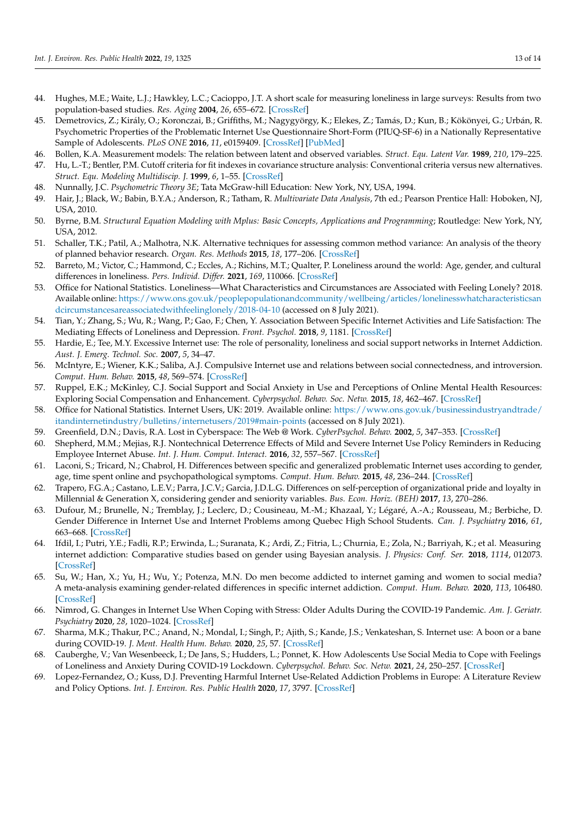- <span id="page-13-0"></span>44. Hughes, M.E.; Waite, L.J.; Hawkley, L.C.; Cacioppo, J.T. A short scale for measuring loneliness in large surveys: Results from two population-based studies. *Res. Aging* **2004**, *26*, 655–672. [\[CrossRef\]](http://doi.org/10.1177/0164027504268574)
- <span id="page-13-1"></span>45. Demetrovics, Z.; Király, O.; Koronczai, B.; Griffiths, M.; Nagygyörgy, K.; Elekes, Z.; Tamás, D.; Kun, B.; Kökönyei, G.; Urbán, R. Psychometric Properties of the Problematic Internet Use Questionnaire Short-Form (PIUQ-SF-6) in a Nationally Representative Sample of Adolescents. *PLoS ONE* **2016**, *11*, e0159409. [\[CrossRef\]](http://doi.org/10.1371/journal.pone.0159409) [\[PubMed\]](http://www.ncbi.nlm.nih.gov/pubmed/27504915)
- <span id="page-13-2"></span>46. Bollen, K.A. Measurement models: The relation between latent and observed variables. *Struct. Equ. Latent Var.* **1989**, *210*, 179–225.
- <span id="page-13-3"></span>47. Hu, L.-T.; Bentler, P.M. Cutoff criteria for fit indexes in covariance structure analysis: Conventional criteria versus new alternatives. *Struct. Equ. Modeling Multidiscip. J.* **1999**, *6*, 1–55. [\[CrossRef\]](http://doi.org/10.1080/10705519909540118)
- <span id="page-13-4"></span>48. Nunnally, J.C. *Psychometric Theory 3E*; Tata McGraw-hill Education: New York, NY, USA, 1994.
- <span id="page-13-5"></span>49. Hair, J.; Black, W.; Babin, B.Y.A.; Anderson, R.; Tatham, R. *Multivariate Data Analysis*, 7th ed.; Pearson Prentice Hall: Hoboken, NJ, USA, 2010.
- <span id="page-13-6"></span>50. Byrne, B.M. *Structural Equation Modeling with Mplus: Basic Concepts, Applications and Programming*; Routledge: New York, NY, USA, 2012.
- <span id="page-13-7"></span>51. Schaller, T.K.; Patil, A.; Malhotra, N.K. Alternative techniques for assessing common method variance: An analysis of the theory of planned behavior research. *Organ. Res. Methods* **2015**, *18*, 177–206. [\[CrossRef\]](http://doi.org/10.1177/1094428114554398)
- <span id="page-13-8"></span>52. Barreto, M.; Victor, C.; Hammond, C.; Eccles, A.; Richins, M.T.; Qualter, P. Loneliness around the world: Age, gender, and cultural differences in loneliness. *Pers. Individ. Differ.* **2021**, *169*, 110066. [\[CrossRef\]](http://doi.org/10.1016/j.paid.2020.110066)
- <span id="page-13-9"></span>53. Office for National Statistics. Loneliness—What Characteristics and Circumstances are Associated with Feeling Lonely? 2018. Available online: <https://www.ons.gov.uk/peoplepopulationandcommunity/wellbeing/articles/lonelinesswhatcharacteristicsan> <dcircumstancesareassociatedwithfeelinglonely/2018-04-10> (accessed on 8 July 2021).
- <span id="page-13-10"></span>54. Tian, Y.; Zhang, S.; Wu, R.; Wang, P.; Gao, F.; Chen, Y. Association Between Specific Internet Activities and Life Satisfaction: The Mediating Effects of Loneliness and Depression. *Front. Psychol.* **2018**, *9*, 1181. [\[CrossRef\]](http://doi.org/10.3389/fpsyg.2018.01181)
- <span id="page-13-11"></span>55. Hardie, E.; Tee, M.Y. Excessive Internet use: The role of personality, loneliness and social support networks in Internet Addiction. *Aust. J. Emerg. Technol. Soc.* **2007**, *5*, 34–47.
- <span id="page-13-12"></span>56. McIntyre, E.; Wiener, K.K.; Saliba, A.J. Compulsive Internet use and relations between social connectedness, and introversion. *Comput. Hum. Behav.* **2015**, *48*, 569–574. [\[CrossRef\]](http://doi.org/10.1016/j.chb.2015.02.021)
- <span id="page-13-13"></span>57. Ruppel, E.K.; McKinley, C.J. Social Support and Social Anxiety in Use and Perceptions of Online Mental Health Resources: Exploring Social Compensation and Enhancement. *Cyberpsychol. Behav. Soc. Netw.* **2015**, *18*, 462–467. [\[CrossRef\]](http://doi.org/10.1089/cyber.2014.0652)
- <span id="page-13-14"></span>58. Office for National Statistics. Internet Users, UK: 2019. Available online: [https://www.ons.gov.uk/businessindustryandtrade/](https://www.ons.gov.uk/businessindustryandtrade/itandinternetindustry/bulletins/internetusers/2019#main-points) [itandinternetindustry/bulletins/internetusers/2019#main-points](https://www.ons.gov.uk/businessindustryandtrade/itandinternetindustry/bulletins/internetusers/2019#main-points) (accessed on 8 July 2021).
- <span id="page-13-15"></span>59. Greenfield, D.N.; Davis, R.A. Lost in Cyberspace: The Web @ Work. *CyberPsychol. Behav.* **2002**, *5*, 347–353. [\[CrossRef\]](http://doi.org/10.1089/109493102760275590)
- <span id="page-13-16"></span>60. Shepherd, M.M.; Mejias, R.J. Nontechnical Deterrence Effects of Mild and Severe Internet Use Policy Reminders in Reducing Employee Internet Abuse. *Int. J. Hum. Comput. Interact.* **2016**, *32*, 557–567. [\[CrossRef\]](http://doi.org/10.1080/10447318.2016.1183862)
- <span id="page-13-17"></span>61. Laconi, S.; Tricard, N.; Chabrol, H. Differences between specific and generalized problematic Internet uses according to gender, age, time spent online and psychopathological symptoms. *Comput. Hum. Behav.* **2015**, *48*, 236–244. [\[CrossRef\]](http://doi.org/10.1016/j.chb.2015.02.006)
- <span id="page-13-18"></span>62. Trapero, F.G.A.; Castano, L.E.V.; Parra, J.C.V.; Garcia, J.D.L.G. Differences on self-perception of organizational pride and loyalty in Millennial & Generation X, considering gender and seniority variables. *Bus. Econ. Horiz. (BEH)* **2017**, *13*, 270–286.
- <span id="page-13-19"></span>63. Dufour, M.; Brunelle, N.; Tremblay, J.; Leclerc, D.; Cousineau, M.-M.; Khazaal, Y.; Légaré, A.-A.; Rousseau, M.; Berbiche, D. Gender Difference in Internet Use and Internet Problems among Quebec High School Students. *Can. J. Psychiatry* **2016**, *61*, 663–668. [\[CrossRef\]](http://doi.org/10.1177/0706743716640755)
- 64. Ifdil, I.; Putri, Y.E.; Fadli, R.P.; Erwinda, L.; Suranata, K.; Ardi, Z.; Fitria, L.; Churnia, E.; Zola, N.; Barriyah, K.; et al. Measuring internet addiction: Comparative studies based on gender using Bayesian analysis. *J. Physics: Conf. Ser.* **2018**, *1114*, 012073. [\[CrossRef\]](http://doi.org/10.1088/1742-6596/1114/1/012073)
- <span id="page-13-20"></span>65. Su, W.; Han, X.; Yu, H.; Wu, Y.; Potenza, M.N. Do men become addicted to internet gaming and women to social media? A meta-analysis examining gender-related differences in specific internet addiction. *Comput. Hum. Behav.* **2020**, *113*, 106480. [\[CrossRef\]](http://doi.org/10.1016/j.chb.2020.106480)
- <span id="page-13-21"></span>66. Nimrod, G. Changes in Internet Use When Coping with Stress: Older Adults During the COVID-19 Pandemic. *Am. J. Geriatr. Psychiatry* **2020**, *28*, 1020–1024. [\[CrossRef\]](http://doi.org/10.1016/j.jagp.2020.07.010)
- 67. Sharma, M.K.; Thakur, P.C.; Anand, N.; Mondal, I.; Singh, P.; Ajith, S.; Kande, J.S.; Venkateshan, S. Internet use: A boon or a bane during COVID-19. *J. Ment. Health Hum. Behav.* **2020**, *25*, 57. [\[CrossRef\]](http://doi.org/10.4103/jmhhb.jmhhb_42_20)
- <span id="page-13-22"></span>68. Cauberghe, V.; Van Wesenbeeck, I.; De Jans, S.; Hudders, L.; Ponnet, K. How Adolescents Use Social Media to Cope with Feelings of Loneliness and Anxiety During COVID-19 Lockdown. *Cyberpsychol. Behav. Soc. Netw.* **2021**, *24*, 250–257. [\[CrossRef\]](http://doi.org/10.1089/cyber.2020.0478)
- <span id="page-13-23"></span>69. Lopez-Fernandez, O.; Kuss, D.J. Preventing Harmful Internet Use-Related Addiction Problems in Europe: A Literature Review and Policy Options. *Int. J. Environ. Res. Public Health* **2020**, *17*, 3797. [\[CrossRef\]](http://doi.org/10.3390/ijerph17113797)